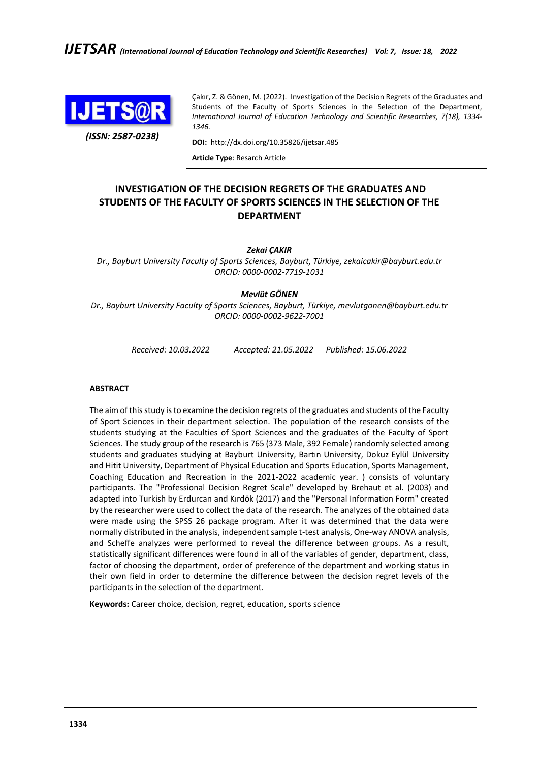

*(ISSN: 2587-0238)*

Çakır, Z. & Gönen, M. (2022). Investigation of the Decision Regrets of the Graduates and Students of the Faculty of Sports Sciences in the Selectıon of the Department, *International Journal of Education Technology and Scientific Researches, 7(18), 1334- 1346.*

**DOI:** http://dx.doi.org/10.35826/ijetsar.485

**Article Type**: Resarch Article

# **INVESTIGATION OF THE DECISION REGRETS OF THE GRADUATES AND STUDENTS OF THE FACULTY OF SPORTS SCIENCES IN THE SELECTION OF THE DEPARTMENT**

*Zekai ÇAKIR*

*Dr., Bayburt University Faculty of Sports Sciences, Bayburt, Türkiye, zekaicakir@bayburt.edu.tr ORCID: 0000-0002-7719-1031*

# *Mevlüt GÖNEN*

*Dr., Bayburt University Faculty of Sports Sciences, Bayburt, Türkiye, mevlutgonen@bayburt.edu.tr ORCID: 0000-0002-9622-7001*

*Received: 10.03.2022 Accepted: 21.05.2022 Published: 15.06.2022*

# **ABSTRACT**

The aim of this study is to examine the decision regrets of the graduates and students of the Faculty of Sport Sciences in their department selection. The population of the research consists of the students studying at the Faculties of Sport Sciences and the graduates of the Faculty of Sport Sciences. The study group of the research is 765 (373 Male, 392 Female) randomly selected among students and graduates studying at Bayburt University, Bartın University, Dokuz Eylül University and Hitit University, Department of Physical Education and Sports Education, Sports Management, Coaching Education and Recreation in the 2021-2022 academic year. ) consists of voluntary participants. The "Professional Decision Regret Scale" developed by Brehaut et al. (2003) and adapted into Turkish by Erdurcan and Kırdök (2017) and the "Personal Information Form" created by the researcher were used to collect the data of the research. The analyzes of the obtained data were made using the SPSS 26 package program. After it was determined that the data were normally distributed in the analysis, independent sample t-test analysis, One-way ANOVA analysis, and Scheffe analyzes were performed to reveal the difference between groups. As a result, statistically significant differences were found in all of the variables of gender, department, class, factor of choosing the department, order of preference of the department and working status in their own field in order to determine the difference between the decision regret levels of the participants in the selection of the department.

**Keywords:** Career choice, decision, regret, education, sports science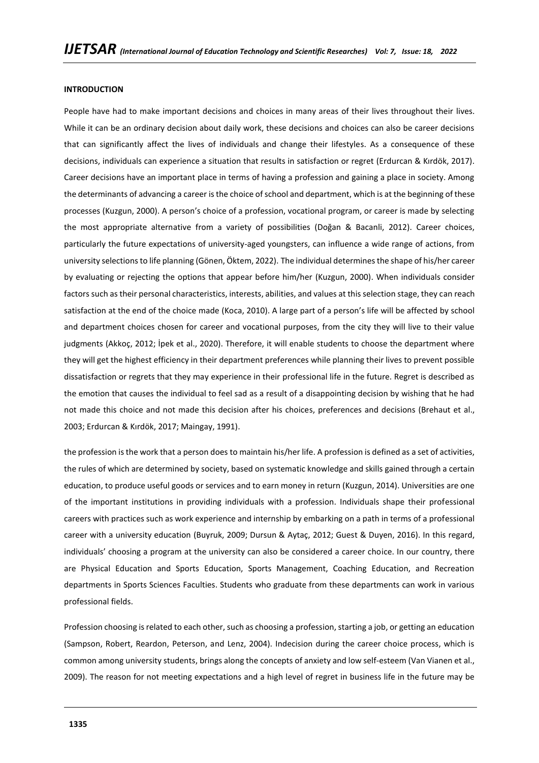## **INTRODUCTION**

People have had to make important decisions and choices in many areas of their lives throughout their lives. While it can be an ordinary decision about daily work, these decisions and choices can also be career decisions that can significantly affect the lives of individuals and change their lifestyles. As a consequence of these decisions, individuals can experience a situation that results in satisfaction or regret (Erdurcan & Kırdök, 2017). Career decisions have an important place in terms of having a profession and gaining a place in society. Among the determinants of advancing a career is the choice of school and department, which is at the beginning of these processes (Kuzgun, 2000). A person's choice of a profession, vocational program, or career is made by selecting the most appropriate alternative from a variety of possibilities (Doğan & Bacanli, 2012). Career choices, particularly the future expectations of university-aged youngsters, can influence a wide range of actions, from university selections to life planning (Gönen, Öktem, 2022). The individual determines the shape of his/her career by evaluating or rejecting the options that appear before him/her (Kuzgun, 2000). When individuals consider factors such as their personal characteristics, interests, abilities, and values at this selection stage, they can reach satisfaction at the end of the choice made (Koca, 2010). A large part of a person's life will be affected by school and department choices chosen for career and vocational purposes, from the city they will live to their value judgments (Akkoç, 2012; İpek et al., 2020). Therefore, it will enable students to choose the department where they will get the highest efficiency in their department preferences while planning their lives to prevent possible dissatisfaction or regrets that they may experience in their professional life in the future. Regret is described as the emotion that causes the individual to feel sad as a result of a disappointing decision by wishing that he had not made this choice and not made this decision after his choices, preferences and decisions (Brehaut et al., 2003; Erdurcan & Kırdök, 2017; Maingay, 1991).

the profession is the work that a person does to maintain his/her life. A profession is defined as a set of activities, the rules of which are determined by society, based on systematic knowledge and skills gained through a certain education, to produce useful goods or services and to earn money in return (Kuzgun, 2014). Universities are one of the important institutions in providing individuals with a profession. Individuals shape their professional careers with practices such as work experience and internship by embarking on a path in terms of a professional career with a university education (Buyruk, 2009; Dursun & Aytaç, 2012; Guest & Duyen, 2016). In this regard, individuals' choosing a program at the university can also be considered a career choice. In our country, there are Physical Education and Sports Education, Sports Management, Coaching Education, and Recreation departments in Sports Sciences Faculties. Students who graduate from these departments can work in various professional fields.

Profession choosing is related to each other, such as choosing a profession, starting a job, or getting an education (Sampson, Robert, Reardon, Peterson, and Lenz, 2004). Indecision during the career choice process, which is common among university students, brings along the concepts of anxiety and low self-esteem (Van Vianen et al., 2009). The reason for not meeting expectations and a high level of regret in business life in the future may be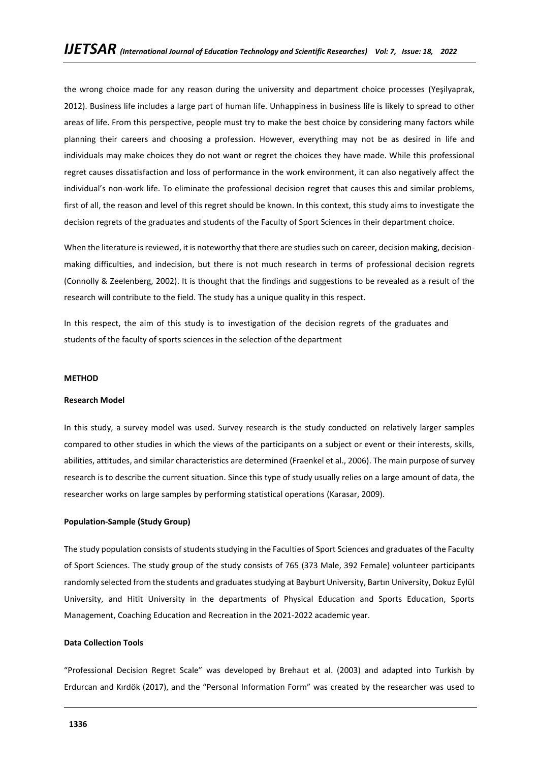the wrong choice made for any reason during the university and department choice processes (Yeşilyaprak, 2012). Business life includes a large part of human life. Unhappiness in business life is likely to spread to other areas of life. From this perspective, people must try to make the best choice by considering many factors while planning their careers and choosing a profession. However, everything may not be as desired in life and individuals may make choices they do not want or regret the choices they have made. While this professional regret causes dissatisfaction and loss of performance in the work environment, it can also negatively affect the individual's non-work life. To eliminate the professional decision regret that causes this and similar problems, first of all, the reason and level of this regret should be known. In this context, this study aims to investigate the decision regrets of the graduates and students of the Faculty of Sport Sciences in their department choice.

When the literature is reviewed, it is noteworthy that there are studies such on career, decision making, decisionmaking difficulties, and indecision, but there is not much research in terms of professional decision regrets (Connolly & Zeelenberg, 2002). It is thought that the findings and suggestions to be revealed as a result of the research will contribute to the field. The study has a unique quality in this respect.

In this respect, the aim of this study is to investigation of the decision regrets of the graduates and students of the faculty of sports sciences in the selection of the department

#### **METHOD**

#### **Research Model**

In this study, a survey model was used. Survey research is the study conducted on relatively larger samples compared to other studies in which the views of the participants on a subject or event or their interests, skills, abilities, attitudes, and similar characteristics are determined (Fraenkel et al., 2006). The main purpose of survey research is to describe the current situation. Since this type of study usually relies on a large amount of data, the researcher works on large samples by performing statistical operations (Karasar, 2009).

#### **Population-Sample (Study Group)**

The study population consists of students studying in the Faculties of Sport Sciences and graduates of the Faculty of Sport Sciences. The study group of the study consists of 765 (373 Male, 392 Female) volunteer participants randomly selected from the students and graduates studying at Bayburt University, Bartın University, Dokuz Eylül University, and Hitit University in the departments of Physical Education and Sports Education, Sports Management, Coaching Education and Recreation in the 2021-2022 academic year.

### **Data Collection Tools**

"Professional Decision Regret Scale" was developed by Brehaut et al. (2003) and adapted into Turkish by Erdurcan and Kırdök (2017), and the "Personal Information Form" was created by the researcher was used to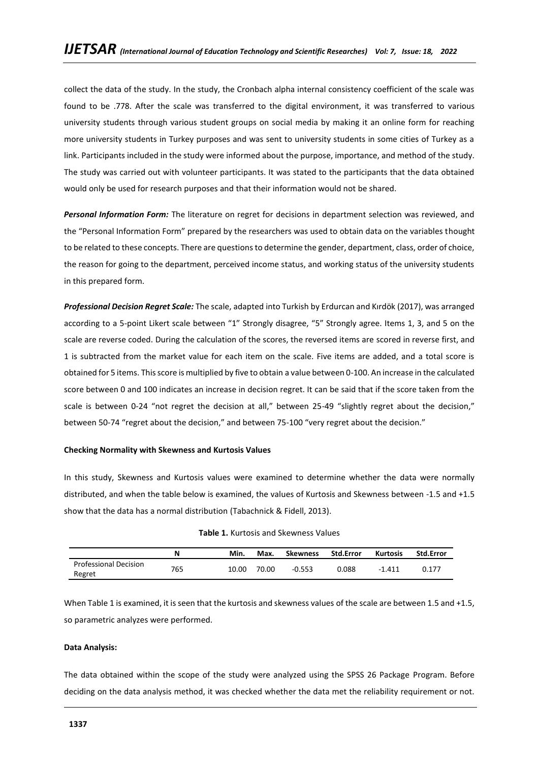collect the data of the study. In the study, the Cronbach alpha internal consistency coefficient of the scale was found to be .778. After the scale was transferred to the digital environment, it was transferred to various university students through various student groups on social media by making it an online form for reaching more university students in Turkey purposes and was sent to university students in some cities of Turkey as a link. Participants included in the study were informed about the purpose, importance, and method of the study. The study was carried out with volunteer participants. It was stated to the participants that the data obtained would only be used for research purposes and that their information would not be shared.

*Personal Information Form:* The literature on regret for decisions in department selection was reviewed, and the "Personal Information Form" prepared by the researchers was used to obtain data on the variables thought to be related to these concepts. There are questions to determine the gender, department, class, order of choice, the reason for going to the department, perceived income status, and working status of the university students in this prepared form.

*Professional Decision Regret Scale:* The scale, adapted into Turkish by Erdurcan and Kırdök (2017), was arranged according to a 5-point Likert scale between "1" Strongly disagree, "5" Strongly agree. Items 1, 3, and 5 on the scale are reverse coded. During the calculation of the scores, the reversed items are scored in reverse first, and 1 is subtracted from the market value for each item on the scale. Five items are added, and a total score is obtained for 5 items. This score is multiplied by five to obtain a value between 0-100. An increase in the calculated score between 0 and 100 indicates an increase in decision regret. It can be said that if the score taken from the scale is between 0-24 "not regret the decision at all," between 25-49 "slightly regret about the decision," between 50-74 "regret about the decision," and between 75-100 "very regret about the decision."

## **Checking Normality with Skewness and Kurtosis Values**

In this study, Skewness and Kurtosis values were examined to determine whether the data were normally distributed, and when the table below is examined, the values of Kurtosis and Skewness between -1.5 and +1.5 show that the data has a normal distribution (Tabachnick & Fidell, 2013).

| <b>Table 1.</b> Kurtosis and Skewness Values |
|----------------------------------------------|
|----------------------------------------------|

|                              | N   | Min.  | Max.  | <b>Skewness</b> | <b>Std.Error</b> | <b>Kurtosis</b> | <b>Std.Error</b> |
|------------------------------|-----|-------|-------|-----------------|------------------|-----------------|------------------|
| <b>Professional Decision</b> | 765 | 10.00 | 70.00 | $-0.553$        | 0.088            | $-1.411$        | 0.177            |
| Regret                       |     |       |       |                 |                  |                 |                  |

When Table 1 is examined, it is seen that the kurtosis and skewness values of the scale are between 1.5 and +1.5, so parametric analyzes were performed.

## **Data Analysis:**

The data obtained within the scope of the study were analyzed using the SPSS 26 Package Program. Before deciding on the data analysis method, it was checked whether the data met the reliability requirement or not.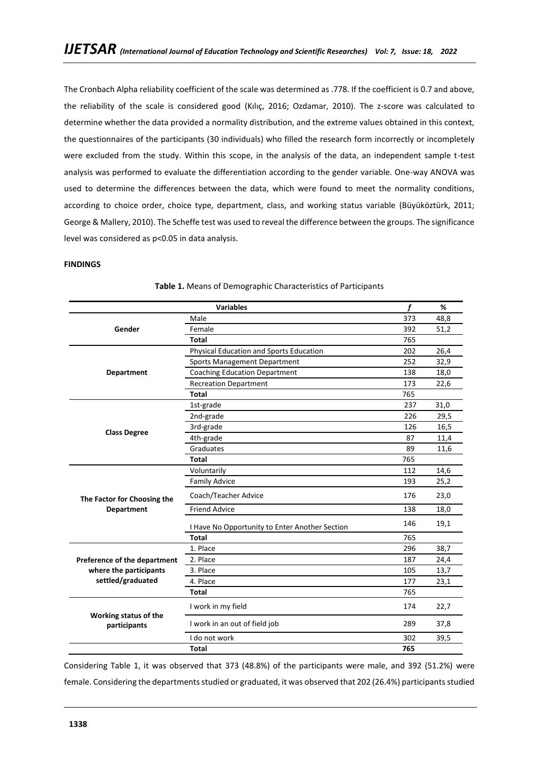The Cronbach Alpha reliability coefficient of the scale was determined as .778. If the coefficient is 0.7 and above, the reliability of the scale is considered good (Kılıç, 2016; Ozdamar, 2010). The z-score was calculated to determine whether the data provided a normality distribution, and the extreme values obtained in this context, the questionnaires of the participants (30 individuals) who filled the research form incorrectly or incompletely were excluded from the study. Within this scope, in the analysis of the data, an independent sample t-test analysis was performed to evaluate the differentiation according to the gender variable. One-way ANOVA was used to determine the differences between the data, which were found to meet the normality conditions, according to choice order, choice type, department, class, and working status variable (Büyüköztürk, 2011; George & Mallery, 2010). The Scheffe test was used to reveal the difference between the groups. The significance level was considered as p<0.05 in data analysis.

## **FINDINGS**

|                                       | <b>Variables</b>                               | f   | ℅    |
|---------------------------------------|------------------------------------------------|-----|------|
|                                       | Male                                           | 373 | 48,8 |
| Gender                                | Female                                         | 392 | 51,2 |
|                                       | <b>Total</b>                                   | 765 |      |
|                                       | <b>Physical Education and Sports Education</b> | 202 | 26,4 |
|                                       | Sports Management Department                   | 252 | 32,9 |
| <b>Department</b>                     | <b>Coaching Education Department</b>           | 138 | 18,0 |
|                                       | <b>Recreation Department</b>                   | 173 | 22,6 |
|                                       | <b>Total</b>                                   | 765 |      |
|                                       | 1st-grade                                      | 237 | 31,0 |
|                                       | 2nd-grade                                      | 226 | 29,5 |
|                                       | 3rd-grade                                      | 126 | 16,5 |
| <b>Class Degree</b>                   | 4th-grade                                      | 87  | 11,4 |
|                                       | Graduates                                      | 89  | 11,6 |
|                                       | <b>Total</b>                                   | 765 |      |
|                                       | Voluntarily                                    | 112 | 14,6 |
|                                       | <b>Family Advice</b>                           | 193 | 25,2 |
| The Factor for Choosing the           | Coach/Teacher Advice                           | 176 | 23,0 |
| <b>Department</b>                     | <b>Friend Advice</b>                           | 138 | 18,0 |
|                                       | I Have No Opportunity to Enter Another Section | 146 | 19,1 |
|                                       | <b>Total</b>                                   | 765 |      |
|                                       | 1. Place                                       | 296 | 38,7 |
| Preference of the department          | 2. Place                                       | 187 | 24,4 |
| where the participants                | 3. Place                                       | 105 | 13,7 |
| settled/graduated                     | 4. Place                                       | 177 | 23,1 |
|                                       | <b>Total</b>                                   | 765 |      |
|                                       | I work in my field                             | 174 | 22,7 |
| Working status of the<br>participants | I work in an out of field job                  | 289 | 37,8 |
|                                       | I do not work                                  | 302 | 39,5 |
|                                       | <b>Total</b>                                   | 765 |      |

**Table 1.** Means of Demographic Characteristics of Participants

Considering Table 1, it was observed that 373 (48.8%) of the participants were male, and 392 (51.2%) were female. Considering the departments studied or graduated, it was observed that 202 (26.4%) participants studied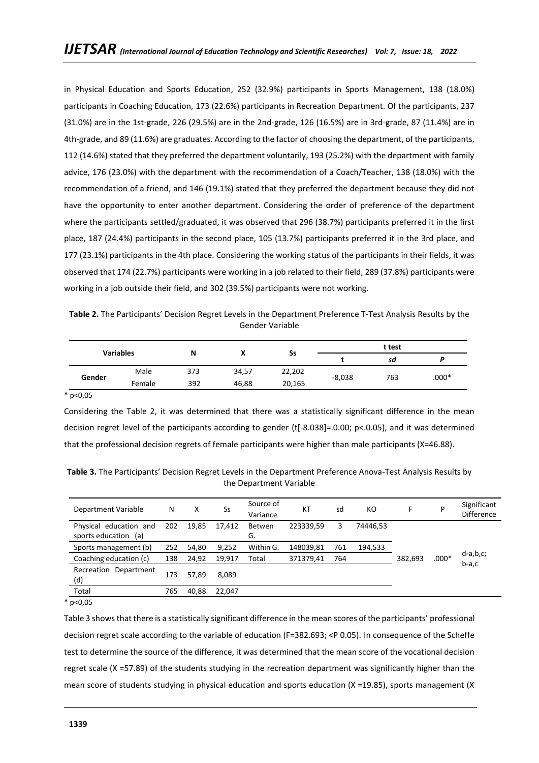in Physical Education and Sports Education, 252 (32.9%) participants in Sports Management, 138 (18.0%) participants in Coaching Education, 173 (22.6%) participants in Recreation Department. Of the participants, 237 (31.0%) are in the 1st-grade, 226 (29.5%) are in the 2nd-grade, 126 (16.5%) are in 3rd-grade, 87 (11.4%) are in 4th-grade, and 89 (11.6%) are graduates. According to the factor of choosing the department, of the participants, 112 (14.6%) stated that they preferred the department voluntarily, 193 (25.2%) with the department with family advice, 176 (23.0%) with the department with the recommendation of a Coach/Teacher, 138 (18.0%) with the recommendation of a friend, and 146 (19.1%) stated that they preferred the department because they did not have the opportunity to enter another department. Considering the order of preference of the department where the participants settled/graduated, it was observed that 296 (38.7%) participants preferred it in the first place, 187 (24.4%) participants in the second place, 105 (13.7%) participants preferred it in the 3rd place, and 177 (23.1%) participants in the 4th place. Considering the working status of the participants in their fields, it was observed that 174 (22.7%) participants were working in a job related to their field, 289 (37.8%) participants were working in a job outside their field, and 302 (39.5%) participants were not working.

**Table 2.** The Participants' Decision Regret Levels in the Department Preference T-Test Analysis Results by the Gender Variable

|        | <b>Variables</b> |     | v     |        |          | t test |         |  |
|--------|------------------|-----|-------|--------|----------|--------|---------|--|
|        |                  | N   |       | Ss     |          | sd     | D       |  |
|        | Male             | 373 | 34,57 | 22,202 |          |        |         |  |
| Gender | Female           | 392 | 46,88 | 20,165 | $-8,038$ | 763    | $.000*$ |  |

 $*$  p<0,05

Considering the Table 2, it was determined that there was a statistically significant difference in the mean decision regret level of the participants according to gender (t[-8.038]=.0.00; p<.0.05), and it was determined that the professional decision regrets of female participants were higher than male participants (X=46.88).

**Table 3.** The Participants' Decision Regret Levels in the Department Preference Anova-Test Analysis Results by the Department Variable

| Department Variable                            | N   | х     | Ss     | Source of<br>Variance | КT        | sd  | КO       | F       | P       | Significant<br><b>Difference</b> |
|------------------------------------------------|-----|-------|--------|-----------------------|-----------|-----|----------|---------|---------|----------------------------------|
| Physical education and<br>sports education (a) | 202 | 19,85 | 17,412 | <b>Betwen</b><br>G.   | 223339,59 | 3   | 74446.53 |         |         |                                  |
| Sports management (b)                          | 252 | 54,80 | 9,252  | Within G.             | 148039,81 | 761 | 194,533  |         |         |                                  |
| Coaching education (c)                         | 138 | 24,92 | 19,917 | Total                 | 371379,41 | 764 |          | 382,693 | $.000*$ | $d-a,b,c;$<br>b-a,c              |
| Recreation Department<br>(d)                   | 173 | 57,89 | 8.089  |                       |           |     |          |         |         |                                  |
| Total                                          | 765 | 40,88 | 22,047 |                       |           |     |          |         |         |                                  |
|                                                |     |       |        |                       |           |     |          |         |         |                                  |

 $*$  p<0,05

Table 3 shows that there is a statistically significant difference in the mean scores of the participants' professional decision regret scale according to the variable of education (F=382.693; <P 0.05). In consequence of the Scheffe test to determine the source of the difference, it was determined that the mean score of the vocational decision regret scale (X =57.89) of the students studying in the recreation department was significantly higher than the mean score of students studying in physical education and sports education (X =19.85), sports management (X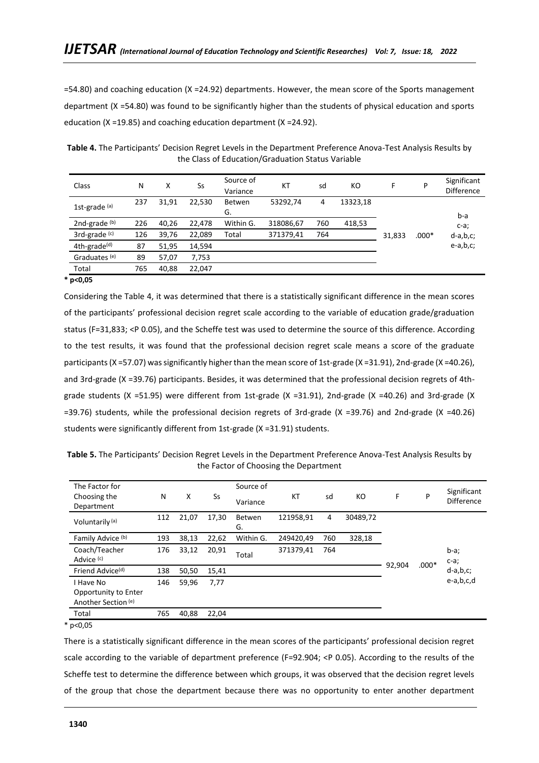=54.80) and coaching education (X =24.92) departments. However, the mean score of the Sports management department (X =54.80) was found to be significantly higher than the students of physical education and sports education (X =19.85) and coaching education department (X =24.92).

| Class                    | Ν   | х     | Ss     | Source of<br>Variance | КT        | sd  | КO       | F      | P       | Significant<br><b>Difference</b> |
|--------------------------|-----|-------|--------|-----------------------|-----------|-----|----------|--------|---------|----------------------------------|
| 1st-grade (a)            | 237 | 31,91 | 22,530 | <b>Betwen</b><br>G.   | 53292,74  | 4   | 13323,18 |        |         | b-a                              |
| 2nd-grade (b)            | 226 | 40,26 | 22,478 | Within G.             | 318086,67 | 760 | 418,53   |        |         | $c-a$ ;                          |
| $3rd$ -grade $(c)$       | 126 | 39,76 | 22,089 | Total                 | 371379,41 | 764 |          | 31,833 | $.000*$ | $d-a,b,c;$                       |
| 4th-grade <sup>(d)</sup> | 87  | 51,95 | 14,594 |                       |           |     |          |        |         | $e-a,b,c;$                       |
| Graduates (e)            | 89  | 57,07 | 7,753  |                       |           |     |          |        |         |                                  |
| Total                    | 765 | 40,88 | 22,047 |                       |           |     |          |        |         |                                  |
|                          |     |       |        |                       |           |     |          |        |         |                                  |

**Table 4.** The Participants' Decision Regret Levels in the Department Preference Anova-Test Analysis Results by the Class of Education/Graduation Status Variable

**\* p<0,05** 

Considering the Table 4, it was determined that there is a statistically significant difference in the mean scores of the participants' professional decision regret scale according to the variable of education grade/graduation status (F=31,833; <P 0.05), and the Scheffe test was used to determine the source of this difference. According to the test results, it was found that the professional decision regret scale means a score of the graduate participants (X =57.07) was significantly higher than the mean score of 1st-grade (X =31.91), 2nd-grade (X =40.26), and 3rd-grade (X =39.76) participants. Besides, it was determined that the professional decision regrets of 4thgrade students (X =51.95) were different from 1st-grade (X =31.91), 2nd-grade (X =40.26) and 3rd-grade (X =39.76) students, while the professional decision regrets of 3rd-grade (X =39.76) and 2nd-grade (X =40.26) students were significantly different from 1st-grade (X =31.91) students.

**Table 5.** The Participants' Decision Regret Levels in the Department Preference Anova-Test Analysis Results by the Factor of Choosing the Department

| The Factor for<br>Choosing the<br>Department             | N   | X     | Ss    | Source of<br>Variance | KT        | sd  | КO       | F      | P       | Significant<br><b>Difference</b> |
|----------------------------------------------------------|-----|-------|-------|-----------------------|-----------|-----|----------|--------|---------|----------------------------------|
| Voluntarily <sup>(a)</sup>                               | 112 | 21,07 | 17,30 | Betwen<br>G.          | 121958,91 | 4   | 30489,72 |        |         |                                  |
| Family Advice <sup>(b)</sup>                             | 193 | 38,13 | 22,62 | Within G.             | 249420,49 | 760 | 328,18   |        |         |                                  |
| Coach/Teacher<br>Advice <sup>(c)</sup>                   | 176 | 33,12 | 20,91 | Total                 | 371379,41 | 764 |          | 92,904 | $.000*$ | $b-a$ ;<br>$c-a$ ;               |
| Friend Advice <sup>(d)</sup>                             | 138 | 50,50 | 15,41 |                       |           |     |          |        |         | $d-a,b,c;$                       |
| I Have No<br>Opportunity to Enter<br>Another Section (e) | 146 | 59,96 | 7,77  |                       |           |     |          |        |         | e-a,b,c,d                        |
| Total                                                    | 765 | 40,88 | 22.04 |                       |           |     |          |        |         |                                  |

 $*$  p<0,05

There is a statistically significant difference in the mean scores of the participants' professional decision regret scale according to the variable of department preference (F=92.904; <P 0.05). According to the results of the Scheffe test to determine the difference between which groups, it was observed that the decision regret levels of the group that chose the department because there was no opportunity to enter another department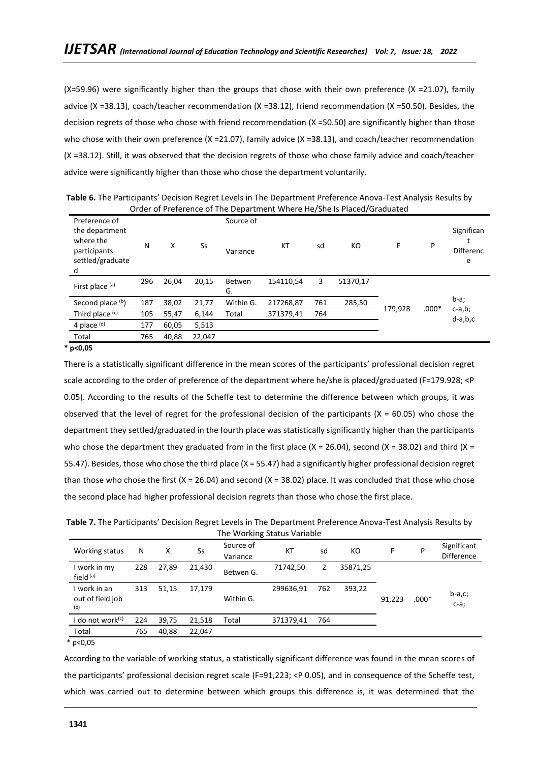$(X=59.96)$  were significantly higher than the groups that chose with their own preference  $(X = 21.07)$ , family advice (X =38.13), coach/teacher recommendation (X =38.12), friend recommendation (X =50.50). Besides, the decision regrets of those who chose with friend recommendation (X =50.50) are significantly higher than those who chose with their own preference (X =21.07), family advice (X =38.13), and coach/teacher recommendation (X =38.12). Still, it was observed that the decision regrets of those who chose family advice and coach/teacher advice were significantly higher than those who chose the department voluntarily.

| Preference of                                                        |     |       |        | Source of           |           |     |          |         |         |                                     |
|----------------------------------------------------------------------|-----|-------|--------|---------------------|-----------|-----|----------|---------|---------|-------------------------------------|
| the department<br>where the<br>participants<br>settled/graduate<br>d | N   | x     | Ss     | Variance            | KT        | sd  | KO       | F       | P       | Significan<br><b>Differenc</b><br>e |
| First place (a)                                                      | 296 | 26,04 | 20,15  | <b>Betwen</b><br>G. | 154110,54 | 3   | 51370,17 |         |         |                                     |
| Second place (b)                                                     | 187 | 38,02 | 21,77  | Within G.           | 217268,87 | 761 | 285,50   |         |         | b-a;                                |
| Third place (c)                                                      | 105 | 55,47 | 6.144  | Total               | 371379,41 | 764 |          | 179,928 | $.000*$ | $c-a,b;$                            |
| 4 place $(d)$                                                        | 177 | 60,05 | 5,513  |                     |           |     |          |         |         | d-a,b,c                             |
| Total                                                                | 765 | 40,88 | 22,047 |                     |           |     |          |         |         |                                     |

**Table 6.** The Participants' Decision Regret Levels in The Department Preference Anova-Test Analysis Results by Order of Preference of The Department Where He/She Is Placed/Graduated

**\* p<0,05** 

There is a statistically significant difference in the mean scores of the participants' professional decision regret scale according to the order of preference of the department where he/she is placed/graduated (F=179.928; <P 0.05). According to the results of the Scheffe test to determine the difference between which groups, it was observed that the level of regret for the professional decision of the participants ( $X = 60.05$ ) who chose the department they settled/graduated in the fourth place was statistically significantly higher than the participants who chose the department they graduated from in the first place (X = 26.04), second (X = 38.02) and third (X = 55.47). Besides, those who chose the third place (X = 55.47) had a significantly higher professional decision regret than those who chose the first  $(X = 26.04)$  and second  $(X = 38.02)$  place. It was concluded that those who chose the second place had higher professional decision regrets than those who chose the first place.

| Table 7. The Participants' Decision Regret Levels in The Department Preference Anova-Test Analysis Results by |  |
|---------------------------------------------------------------------------------------------------------------|--|
|                                                                                                               |  |

|                                       |     |       |        |                       | The Working Status Variable |     |          |        |         |                                  |
|---------------------------------------|-----|-------|--------|-----------------------|-----------------------------|-----|----------|--------|---------|----------------------------------|
| Working status                        | N   | х     | Ss     | Source of<br>Variance | КT                          | sd  | КO       | F      | P       | Significant<br><b>Difference</b> |
| I work in my<br>field (a)             | 228 | 27,89 | 21,430 | Betwen G.             | 71742,50                    | 2   | 35871,25 |        |         |                                  |
| work in an<br>out of field job<br>(b) | 313 | 51,15 | 17,179 | Within G.             | 299636,91                   | 762 | 393,22   | 91,223 | $.000*$ | $b-a,c;$<br>$c-a;$               |
| do not work <sup>(c)</sup>            | 224 | 39,75 | 21,518 | Total                 | 371379,41                   | 764 |          |        |         |                                  |
| Total                                 | 765 | 40,88 | 22,047 |                       |                             |     |          |        |         |                                  |
|                                       |     |       |        |                       |                             |     |          |        |         |                                  |

 $*$  p<0,05

According to the variable of working status, a statistically significant difference was found in the mean scores of the participants' professional decision regret scale (F=91,223; <P 0.05), and in consequence of the Scheffe test, which was carried out to determine between which groups this difference is, it was determined that the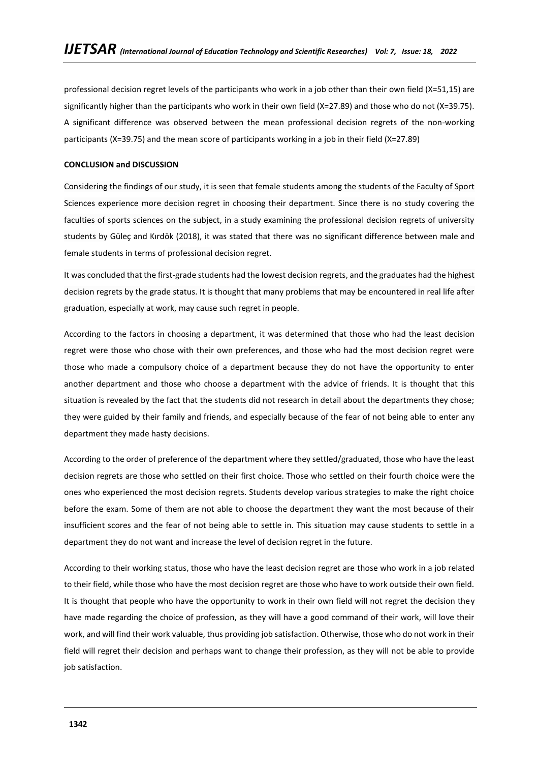professional decision regret levels of the participants who work in a job other than their own field (X=51,15) are significantly higher than the participants who work in their own field (X=27.89) and those who do not (X=39.75). A significant difference was observed between the mean professional decision regrets of the non-working participants (X=39.75) and the mean score of participants working in a job in their field (X=27.89)

# **CONCLUSION and DISCUSSION**

Considering the findings of our study, it is seen that female students among the students of the Faculty of Sport Sciences experience more decision regret in choosing their department. Since there is no study covering the faculties of sports sciences on the subject, in a study examining the professional decision regrets of university students by Güleç and Kırdök (2018), it was stated that there was no significant difference between male and female students in terms of professional decision regret.

It was concluded that the first-grade students had the lowest decision regrets, and the graduates had the highest decision regrets by the grade status. It is thought that many problems that may be encountered in real life after graduation, especially at work, may cause such regret in people.

According to the factors in choosing a department, it was determined that those who had the least decision regret were those who chose with their own preferences, and those who had the most decision regret were those who made a compulsory choice of a department because they do not have the opportunity to enter another department and those who choose a department with the advice of friends. It is thought that this situation is revealed by the fact that the students did not research in detail about the departments they chose; they were guided by their family and friends, and especially because of the fear of not being able to enter any department they made hasty decisions.

According to the order of preference of the department where they settled/graduated, those who have the least decision regrets are those who settled on their first choice. Those who settled on their fourth choice were the ones who experienced the most decision regrets. Students develop various strategies to make the right choice before the exam. Some of them are not able to choose the department they want the most because of their insufficient scores and the fear of not being able to settle in. This situation may cause students to settle in a department they do not want and increase the level of decision regret in the future.

According to their working status, those who have the least decision regret are those who work in a job related to their field, while those who have the most decision regret are those who have to work outside their own field. It is thought that people who have the opportunity to work in their own field will not regret the decision they have made regarding the choice of profession, as they will have a good command of their work, will love their work, and will find their work valuable, thus providing job satisfaction. Otherwise, those who do not work in their field will regret their decision and perhaps want to change their profession, as they will not be able to provide job satisfaction.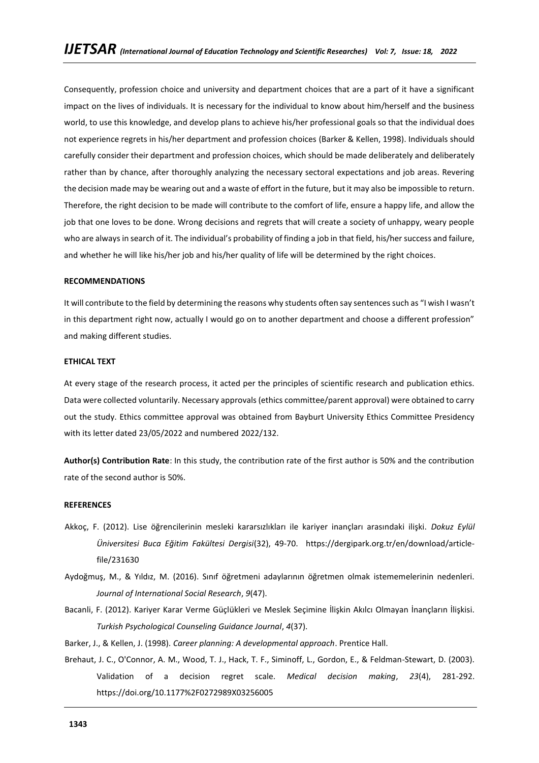Consequently, profession choice and university and department choices that are a part of it have a significant impact on the lives of individuals. It is necessary for the individual to know about him/herself and the business world, to use this knowledge, and develop plans to achieve his/her professional goals so that the individual does not experience regrets in his/her department and profession choices (Barker & Kellen, 1998). Individuals should carefully consider their department and profession choices, which should be made deliberately and deliberately rather than by chance, after thoroughly analyzing the necessary sectoral expectations and job areas. Revering the decision made may be wearing out and a waste of effort in the future, but it may also be impossible to return. Therefore, the right decision to be made will contribute to the comfort of life, ensure a happy life, and allow the job that one loves to be done. Wrong decisions and regrets that will create a society of unhappy, weary people who are always in search of it. The individual's probability of finding a job in that field, his/her success and failure, and whether he will like his/her job and his/her quality of life will be determined by the right choices.

## **RECOMMENDATIONS**

It will contribute to the field by determining the reasons why students often say sentences such as "I wish I wasn't in this department right now, actually I would go on to another department and choose a different profession" and making different studies.

## **ETHICAL TEXT**

At every stage of the research process, it acted per the principles of scientific research and publication ethics. Data were collected voluntarily. Necessary approvals (ethics committee/parent approval) were obtained to carry out the study. Ethics committee approval was obtained from Bayburt University Ethics Committee Presidency with its letter dated 23/05/2022 and numbered 2022/132.

**Author(s) Contribution Rate**: In this study, the contribution rate of the first author is 50% and the contribution rate of the second author is 50%.

#### **REFERENCES**

- Akkoç, F. (2012). Lise öğrencilerinin mesleki kararsızlıkları ile kariyer inançları arasındaki ilişki. *Dokuz Eylül Üniversitesi Buca Eğitim Fakültesi Dergisi*(32), 49-70. https://dergipark.org.tr/en/download/articlefile/231630
- Aydoğmuş, M., & Yıldız, M. (2016). Sınıf öğretmeni adaylarının öğretmen olmak istememelerinin nedenleri. *Journal of International Social Research*, *9*(47).
- Bacanli, F. (2012). Kariyer Karar Verme Güçlükleri ve Meslek Seçimine İlişkin Akılcı Olmayan İnançların İlişkisi. *Turkish Psychological Counseling Guidance Journal*, *4*(37).
- Barker, J., & Kellen, J. (1998). *Career planning: A developmental approach*. Prentice Hall.
- Brehaut, J. C., O'Connor, A. M., Wood, T. J., Hack, T. F., Siminoff, L., Gordon, E., & Feldman-Stewart, D. (2003). Validation of a decision regret scale. *Medical decision making*, *23*(4), 281-292. https://doi.org/10.1177%2F0272989X03256005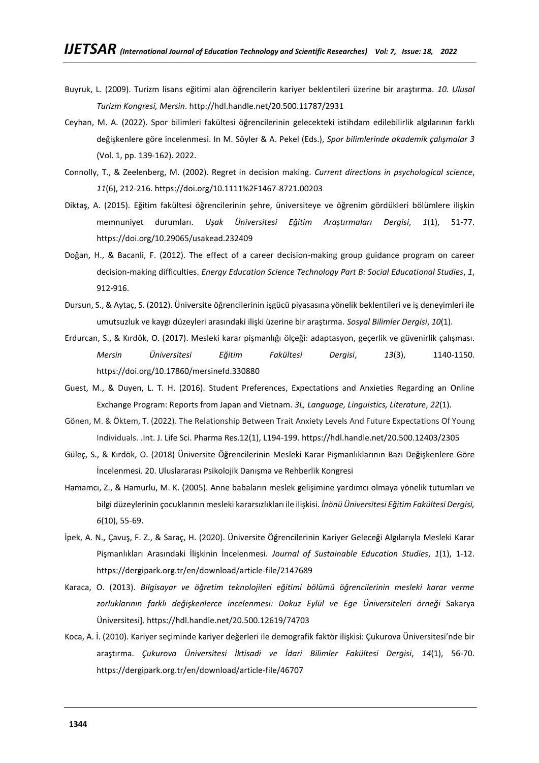- Buyruk, L. (2009). Turizm lisans eğitimi alan öğrencilerin kariyer beklentileri üzerine bir araştırma. *10. Ulusal Turizm Kongresi, Mersin*. http://hdl.handle.net/20.500.11787/2931
- Ceyhan, M. A. (2022). Spor bilimleri fakültesi öğrencilerinin gelecekteki istihdam edilebilirlik algılarının farklı değişkenlere göre incelenmesi. In M. Söyler & A. Pekel (Eds.), *Spor bilimlerinde akademik çalışmalar 3* (Vol. 1, pp. 139-162). 2022.
- Connolly, T., & Zeelenberg, M. (2002). Regret in decision making. *Current directions in psychological science*, *11*(6), 212-216. https://doi.org/10.1111%2F1467-8721.00203
- Diktaş, A. (2015). Eğitim fakültesi öğrencilerinin şehre, üniversiteye ve öğrenim gördükleri bölümlere ilişkin memnuniyet durumları. *Uşak Üniversitesi Eğitim Araştırmaları Dergisi*, *1*(1), 51-77. https://doi.org/10.29065/usakead.232409
- Doğan, H., & Bacanli, F. (2012). The effect of a career decision-making group guidance program on career decision-making difficulties. *Energy Education Science Technology Part B: Social Educational Studies*, *1*, 912-916.
- Dursun, S., & Aytaç, S. (2012). Üniversite öğrencilerinin işgücü piyasasına yönelik beklentileri ve iş deneyimleri ile umutsuzluk ve kaygı düzeyleri arasındaki ilişki üzerine bir araştırma. *Sosyal Bilimler Dergisi*, *10*(1).
- Erdurcan, S., & Kırdök, O. (2017). Mesleki karar pişmanlığı ölçeği: adaptasyon, geçerlik ve güvenirlik çalışması. *Mersin Üniversitesi Eğitim Fakültesi Dergisi*, *13*(3), 1140-1150. https://doi.org/10.17860/mersinefd.330880
- Guest, M., & Duyen, L. T. H. (2016). Student Preferences, Expectations and Anxieties Regarding an Online Exchange Program: Reports from Japan and Vietnam. *3L, Language, Linguistics, Literature*, *22*(1).
- Gönen, M. & Öktem, T. (2022). The Relationship Between Trait Anxiety Levels And Future Expectations Of Young Individuals. .Int. J. Life Sci. Pharma Res.12(1), L194-199. https://hdl.handle.net/20.500.12403/2305
- Güleç, S., & Kırdök, O. (2018) Üniversite Öğrencilerinin Mesleki Karar Pişmanlıklarının Bazı Değişkenlere Göre İncelenmesi. 20. Uluslararası Psikolojik Danışma ve Rehberlik Kongresi
- Hamamcı, Z., & Hamurlu, M. K. (2005). Anne babaların meslek gelişimine yardımcı olmaya yönelik tutumları ve bilgi düzeylerinin çocuklarının mesleki kararsızlıkları ile ilişkisi. *İnönü Üniversitesi Eğitim Fakültesi Dergisi, 6*(10), 55-69.
- İpek, A. N., Çavuş, F. Z., & Saraç, H. (2020). Üniversite Öğrencilerinin Kariyer Geleceği Algılarıyla Mesleki Karar Pişmanlıkları Arasındaki İlişkinin İncelenmesi. *Journal of Sustainable Education Studies*, *1*(1), 1-12. https://dergipark.org.tr/en/download/article-file/2147689
- Karaca, O. (2013). *Bilgisayar ve öğretim teknolojileri eğitimi bölümü öğrencilerinin mesleki karar verme zorluklarının farklı değişkenlerce incelenmesi: Dokuz Eylül ve Ege Üniversiteleri örneği* Sakarya Üniversitesi]. https://hdl.handle.net/20.500.12619/74703
- Koca, A. İ. (2010). Kariyer seçiminde kariyer değerleri ile demografik faktör ilişkisi: Çukurova Üniversitesi'nde bir araştırma. *Çukurova Üniversitesi İktisadi ve İdari Bilimler Fakültesi Dergisi*, *14*(1), 56-70. https://dergipark.org.tr/en/download/article-file/46707